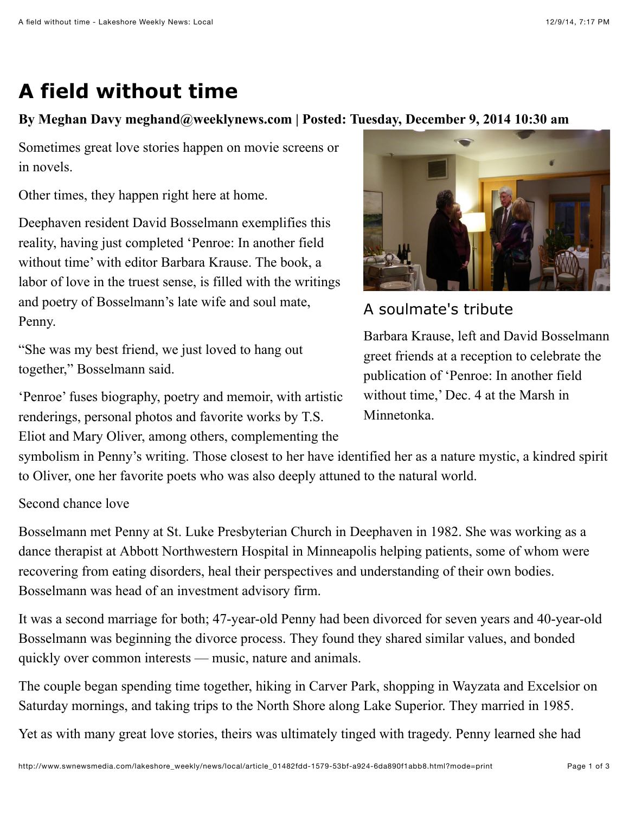## **A field without time**

## **By Meghan Davy meghand@weeklynews.com | Posted: Tuesday, December 9, 2014 10:30 am**

Sometimes great love stories happen on movie screens or in novels.

Other times, they happen right here at home.

Deephaven resident David Bosselmann exemplifies this reality, having just completed 'Penroe: In another field without time' with editor Barbara Krause. The book, a labor of love in the truest sense, is filled with the writings and poetry of Bosselmann's late wife and soul mate, Penny.

"She was my best friend, we just loved to hang out together," Bosselmann said.

'Penroe' fuses biography, poetry and memoir, with artistic renderings, personal photos and favorite works by T.S. Eliot and Mary Oliver, among others, complementing the



A soulmate's tribute

Barbara Krause, left and David Bosselmann greet friends at a reception to celebrate the publication of 'Penroe: In another field without time,' Dec. 4 at the Marsh in Minnetonka.

symbolism in Penny's writing. Those closest to her have identified her as a nature mystic, a kindred spirit to Oliver, one her favorite poets who was also deeply attuned to the natural world.

## Second chance love

Bosselmann met Penny at St. Luke Presbyterian Church in Deephaven in 1982. She was working as a dance therapist at Abbott Northwestern Hospital in Minneapolis helping patients, some of whom were recovering from eating disorders, heal their perspectives and understanding of their own bodies. Bosselmann was head of an investment advisory firm.

It was a second marriage for both; 47-year-old Penny had been divorced for seven years and 40-year-old Bosselmann was beginning the divorce process. They found they shared similar values, and bonded quickly over common interests — music, nature and animals.

The couple began spending time together, hiking in Carver Park, shopping in Wayzata and Excelsior on Saturday mornings, and taking trips to the North Shore along Lake Superior. They married in 1985.

Yet as with many great love stories, theirs was ultimately tinged with tragedy. Penny learned she had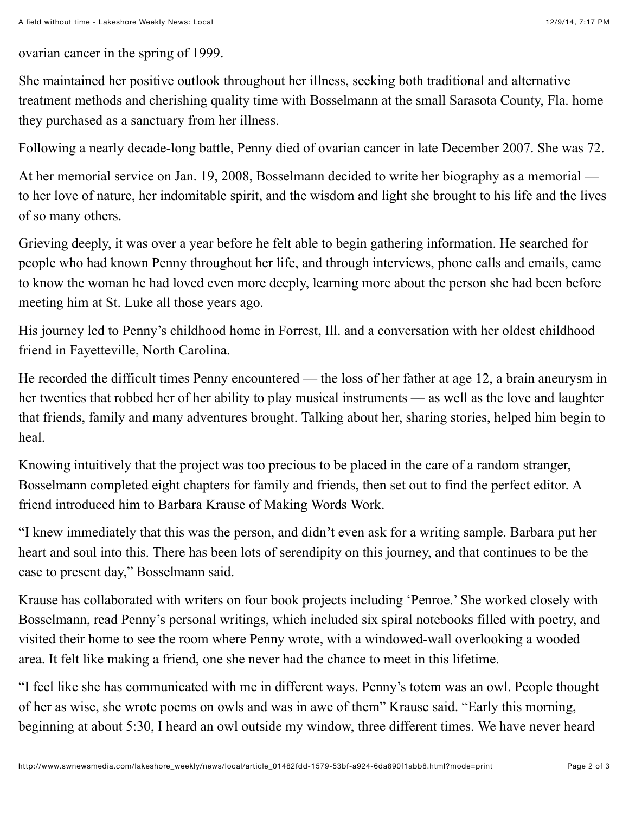ovarian cancer in the spring of 1999.

She maintained her positive outlook throughout her illness, seeking both traditional and alternative treatment methods and cherishing quality time with Bosselmann at the small Sarasota County, Fla. home they purchased as a sanctuary from her illness.

Following a nearly decade-long battle, Penny died of ovarian cancer in late December 2007. She was 72.

At her memorial service on Jan. 19, 2008, Bosselmann decided to write her biography as a memorial to her love of nature, her indomitable spirit, and the wisdom and light she brought to his life and the lives of so many others.

Grieving deeply, it was over a year before he felt able to begin gathering information. He searched for people who had known Penny throughout her life, and through interviews, phone calls and emails, came to know the woman he had loved even more deeply, learning more about the person she had been before meeting him at St. Luke all those years ago.

His journey led to Penny's childhood home in Forrest, Ill. and a conversation with her oldest childhood friend in Fayetteville, North Carolina.

He recorded the difficult times Penny encountered — the loss of her father at age 12, a brain aneurysm in her twenties that robbed her of her ability to play musical instruments — as well as the love and laughter that friends, family and many adventures brought. Talking about her, sharing stories, helped him begin to heal.

Knowing intuitively that the project was too precious to be placed in the care of a random stranger, Bosselmann completed eight chapters for family and friends, then set out to find the perfect editor. A friend introduced him to Barbara Krause of Making Words Work.

"I knew immediately that this was the person, and didn't even ask for a writing sample. Barbara put her heart and soul into this. There has been lots of serendipity on this journey, and that continues to be the case to present day," Bosselmann said.

Krause has collaborated with writers on four book projects including 'Penroe.' She worked closely with Bosselmann, read Penny's personal writings, which included six spiral notebooks filled with poetry, and visited their home to see the room where Penny wrote, with a windowed-wall overlooking a wooded area. It felt like making a friend, one she never had the chance to meet in this lifetime.

"I feel like she has communicated with me in different ways. Penny's totem was an owl. People thought of her as wise, she wrote poems on owls and was in awe of them" Krause said. "Early this morning, beginning at about 5:30, I heard an owl outside my window, three different times. We have never heard